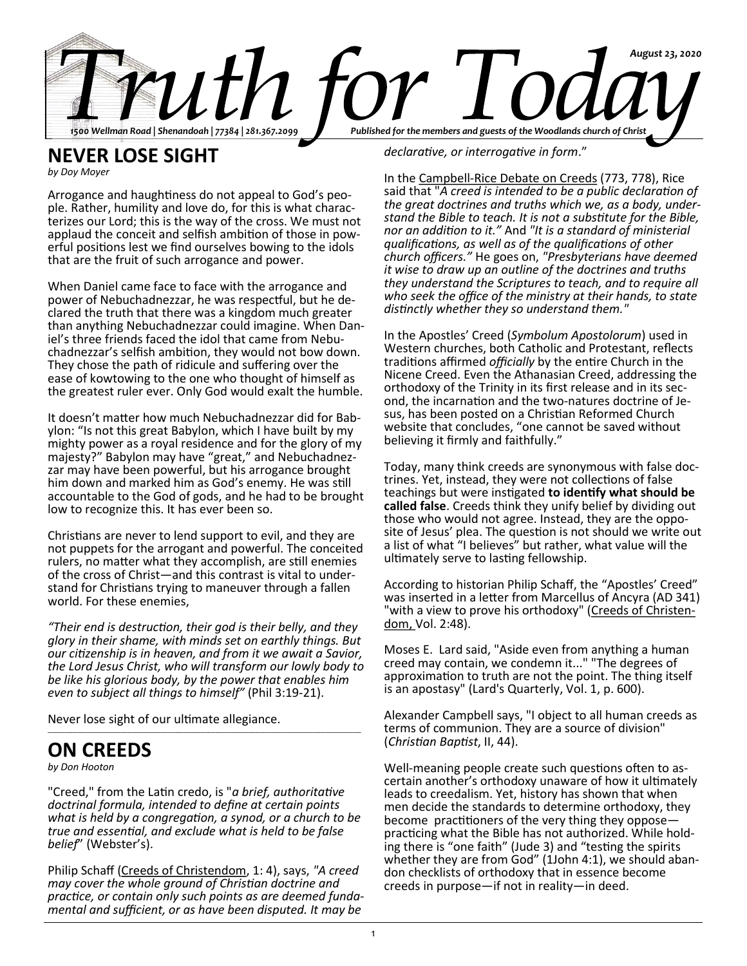

### **NEVER LOSE SIGHT**

*by Doy Moyer* 

Arrogance and haughtiness do not appeal to God's people. Rather, humility and love do, for this is what characterizes our Lord; this is the way of the cross. We must not applaud the conceit and selfish ambition of those in powerful positions lest we find ourselves bowing to the idols that are the fruit of such arrogance and power.

When Daniel came face to face with the arrogance and power of Nebuchadnezzar, he was respectful, but he declared the truth that there was a kingdom much greater than anything Nebuchadnezzar could imagine. When Daniel's three friends faced the idol that came from Nebuchadnezzar's selfish ambition, they would not bow down. They chose the path of ridicule and suffering over the ease of kowtowing to the one who thought of himself as the greatest ruler ever. Only God would exalt the humble.

It doesn't matter how much Nebuchadnezzar did for Babylon: "Is not this great Babylon, which I have built by my mighty power as a royal residence and for the glory of my majesty?" Babylon may have "great," and Nebuchadnezzar may have been powerful, but his arrogance brought him down and marked him as God's enemy. He was still accountable to the God of gods, and he had to be brought low to recognize this. It has ever been so.

Christians are never to lend support to evil, and they are not puppets for the arrogant and powerful. The conceited rulers, no matter what they accomplish, are still enemies of the cross of Christ—and this contrast is vital to understand for Christians trying to maneuver through a fallen world. For these enemies,

*"Their end is destruction, their god is their belly, and they glory in their shame, with minds set on earthly things. But our citizenship is in heaven, and from it we await a Savior, the Lord Jesus Christ, who will transform our lowly body to be like his glorious body, by the power that enables him even to subject all things to himself"* (Phil 3:19-21).

\_\_\_\_\_\_\_\_\_\_\_\_\_\_\_\_\_\_\_\_\_\_\_\_\_\_\_\_\_\_\_\_\_\_\_\_\_\_\_\_\_\_\_\_\_\_\_\_\_\_\_\_\_\_\_\_\_\_\_\_\_\_\_\_\_\_\_\_\_\_\_\_\_\_\_\_\_\_\_\_\_\_\_\_\_\_

Never lose sight of our ultimate allegiance.

## **ON CREEDS**

*by Don Hooton*

"Creed," from the Latin credo, is "*a brief, authoritative doctrinal formula, intended to define at certain points what is held by a congregation, a synod, or a church to be true and essential, and exclude what is held to be false belief*" (Webster's).

Philip Schaff (Creeds of Christendom, 1: 4), says, *"A creed may cover the whole ground of Christian doctrine and practice, or contain only such points as are deemed fundamental and sufficient, or as have been disputed. It may be* 

*declarative, or interrogative in form*."

In the Campbell-Rice Debate on Creeds (773, 778), Rice said that "*A creed is intended to be a public declaration of the great doctrines and truths which we, as a body, understand the Bible to teach. It is not a substitute for the Bible, nor an addition to it."* And *"It is a standard of ministerial qualifications, as well as of the qualifications of other church officers."* He goes on, *"Presbyterians have deemed it wise to draw up an outline of the doctrines and truths they understand the Scriptures to teach, and to require all who seek the office of the ministry at their hands, to state distinctly whether they so understand them."* 

In the Apostles' Creed (*Symbolum Apostolorum*) used in Western churches, both Catholic and Protestant, reflects traditions affirmed *officially* by the entire Church in the Nicene Creed. Even the Athanasian Creed, addressing the orthodoxy of the Trinity in its first release and in its second, the incarnation and the two-natures doctrine of Jesus, has been posted on a Christian Reformed Church website that concludes, "one cannot be saved without believing it firmly and faithfully."

Today, many think creeds are synonymous with false doctrines. Yet, instead, they were not collections of false teachings but were instigated **to identify what should be called false**. Creeds think they unify belief by dividing out those who would not agree. Instead, they are the opposite of Jesus' plea. The question is not should we write out a list of what "I believes" but rather, what value will the ultimately serve to lasting fellowship.

According to historian Philip Schaff, the "Apostles' Creed" was inserted in a letter from Marcellus of Ancyra (AD 341) "with a view to prove his orthodoxy" (Creeds of Christendom, Vol. 2:48).

Moses E. Lard said, "Aside even from anything a human creed may contain, we condemn it..." "The degrees of approximation to truth are not the point. The thing itself is an apostasy" (Lard's Quarterly, Vol. 1, p. 600).

Alexander Campbell says, "I object to all human creeds as terms of communion. They are a source of division" (*Christian Baptist*, II, 44).

Well-meaning people create such questions often to ascertain another's orthodoxy unaware of how it ultimately leads to creedalism. Yet, history has shown that when men decide the standards to determine orthodoxy, they become practitioners of the very thing they oppose practicing what the Bible has not authorized. While holding there is "one faith" (Jude 3) and "testing the spirits whether they are from God" (1John 4:1), we should abandon checklists of orthodoxy that in essence become creeds in purpose—if not in reality—in deed.